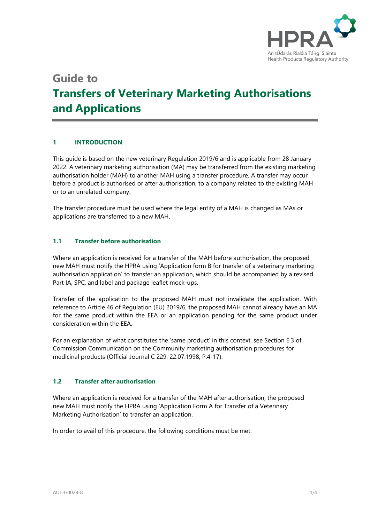

# **Guide to Transfers of Veterinary Marketing Authorisations and Applications**

# **1 INTRODUCTION**

This guide is based on the new veterinary Regulation 2019/6 and is applicable from 28 January 2022. A veterinary marketing authorisation (MA) may be transferred from the existing marketing authorisation holder (MAH) to another MAH using a transfer procedure. A transfer may occur before a product is authorised or after authorisation, to a company related to the existing MAH or to an unrelated company.

The transfer procedure must be used where the legal entity of a MAH is changed as MAs or applications are transferred to a new MAH.

# **1.1 Transfer before authorisation**

Where an application is received for a transfer of the MAH before authorisation, the proposed new MAH must notify the HPRA using 'Application form B for transfer of a veterinary marketing authorisation application' to transfer an application, which should be accompanied by a revised Part IA, SPC, and label and package leaflet mock-ups.

Transfer of the application to the proposed MAH must not invalidate the application. With reference to Article 46 of Regulation (EU) 2019/6, the proposed MAH cannot already have an MA for the same product within the EEA or an application pending for the same product under consideration within the EEA.

For an explanation of what constitutes the 'same product' in this context, see Section E.3 of Commission Communication on the Community marketing authorisation procedures for medicinal products (Official Journal C 229, 22.07.1998, P.4-17).

## **1.2 Transfer after authorisation**

Where an application is received for a transfer of the MAH after authorisation, the proposed new MAH must notify the HPRA using 'Application Form A for Transfer of a Veterinary Marketing Authorisation' to transfer an application.

In order to avail of this procedure, the following conditions must be met: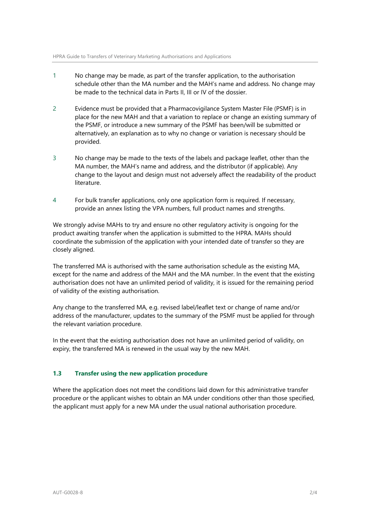- 1 No change may be made, as part of the transfer application, to the authorisation schedule other than the MA number and the MAH's name and address. No change may be made to the technical data in Parts II, III or IV of the dossier.
- 2 Evidence must be provided that a Pharmacovigilance System Master File (PSMF) is in place for the new MAH and that a variation to replace or change an existing summary of the PSMF, or introduce a new summary of the PSMF has been/will be submitted or alternatively, an explanation as to why no change or variation is necessary should be provided.
- 3 No change may be made to the texts of the labels and package leaflet, other than the MA number, the MAH's name and address, and the distributor (if applicable). Any change to the layout and design must not adversely affect the readability of the product literature.
- 4 For bulk transfer applications, only one application form is required. If necessary, provide an annex listing the VPA numbers, full product names and strengths.

We strongly advise MAHs to try and ensure no other regulatory activity is ongoing for the product awaiting transfer when the application is submitted to the HPRA. MAHs should coordinate the submission of the application with your intended date of transfer so they are closely aligned.

The transferred MA is authorised with the same authorisation schedule as the existing MA, except for the name and address of the MAH and the MA number. In the event that the existing authorisation does not have an unlimited period of validity, it is issued for the remaining period of validity of the existing authorisation.

Any change to the transferred MA, e.g. revised label/leaflet text or change of name and/or address of the manufacturer, updates to the summary of the PSMF must be applied for through the relevant variation procedure.

In the event that the existing authorisation does not have an unlimited period of validity, on expiry, the transferred MA is renewed in the usual way by the new MAH.

## **1.3 Transfer using the new application procedure**

Where the application does not meet the conditions laid down for this administrative transfer procedure or the applicant wishes to obtain an MA under conditions other than those specified, the applicant must apply for a new MA under the usual national authorisation procedure.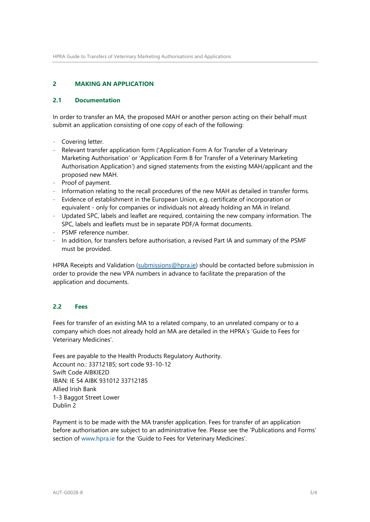## **2 MAKING AN APPLICATION**

#### **2.1 Documentation**

In order to transfer an MA, the proposed MAH or another person acting on their behalf must submit an application consisting of one copy of each of the following:

- Covering letter.
- Relevant transfer application form ('Application Form A for Transfer of a Veterinary Marketing Authorisation' or 'Application Form B for Transfer of a Veterinary Marketing Authorisation Application') and signed statements from the existing MAH/applicant and the proposed new MAH.
- Proof of payment.
- Information relating to the recall procedures of the new MAH as detailed in transfer forms.
- Evidence of establishment in the European Union, e.g. certificate of incorporation or equivalent - only for companies or individuals not already holding an MA in Ireland.
- Updated SPC, labels and leaflet are required, containing the new company information. The SPC, labels and leaflets must be in separate PDF/A format documents.
- PSMF reference number.
- In addition, for transfers before authorisation, a revised Part IA and summary of the PSMF must be provided.

HPRA Receipts and Validation [\(submissions@hpra.ie\)](mailto:submissions@hpra.ie) should be contacted before submission in order to provide the new VPA numbers in advance to facilitate the preparation of the application and documents.

#### **2.2 Fees**

Fees for transfer of an existing MA to a related company, to an unrelated company or to a company which does not already hold an MA are detailed in the HPRA's 'Guide to Fees for Veterinary Medicines'.

Fees are payable to the Health Products Regulatory Authority. Account no.: 33712185; sort code 93-10-12 Swift Code AIBKIE2D IBAN: IE 54 AIBK 931012 33712185 Allied Irish Bank 1-3 Baggot Street Lower Dublin 2

Payment is to be made with the MA transfer application. Fees for transfer of an application before authorisation are subject to an administrative fee. Please see the 'Publications and Forms' section of [www.hpra.ie](http://www.hpra.ie/) for the 'Guide to Fees for Veterinary Medicines'.